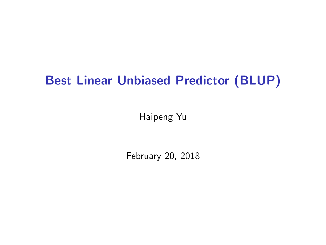## Best Linear Unbiased Predictor (BLUP)

Haipeng Yu

February 20, 2018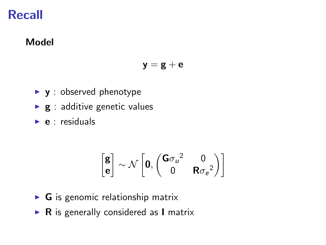## Recall

### Model

$$
\bm{y}=\bm{g}+\bm{e}
$$

- $\blacktriangleright$  y : observed phenotype
- $\blacktriangleright$  g : additive genetic values
- $\blacktriangleright$  e : residuals

$$
\begin{bmatrix}\boldsymbol{g}\\ \boldsymbol{e}\end{bmatrix}\sim \mathcal{N}\left[\boldsymbol{0},\begin{pmatrix}\boldsymbol{G}\boldsymbol{\sigma}_u{}^2&\boldsymbol{0}\\ \boldsymbol{0}&\boldsymbol{R}\boldsymbol{\sigma_e}{}^2\end{pmatrix}\right]
$$

- $\triangleright$  **G** is genomic relationship matrix
- $\triangleright$  R is generally considered as I matrix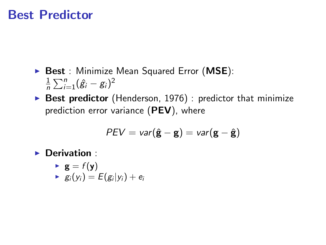## Best Predictor

- Best : Minimize Mean Squared Error (MSE): 1  $\frac{1}{n}\sum_{i=1}^{n}(\hat{g}_i - g_i)^2$
- $\triangleright$  Best predictor (Henderson, 1976) : predictor that minimize prediction error variance (PEV), where

$$
\textit{PEV} = \textit{var}(\hat{\mathbf{g}} - \mathbf{g}) = \textit{var}(\mathbf{g} - \hat{\mathbf{g}})
$$

 $\blacktriangleright$  Derivation :

$$
\begin{array}{ll} \bullet & \mathbf{g} = f(\mathbf{y}) \\ \bullet & g_i(y_i) = E(g_i|y_i) + e_i \end{array}
$$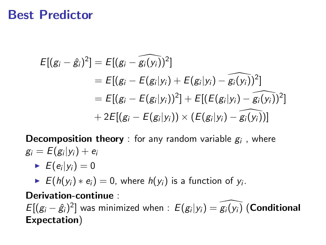## Best Predictor

$$
E[(g_i - \hat{g}_i)^2] = E[(g_i - \widehat{g_i(y_i)})^2]
$$
  
=  $E[(g_i - E(g_i|y_i) + E(g_i|y_i) - \widehat{g_i(y_i)})^2]$   
=  $E[(g_i - E(g_i|y_i))^2] + E[(E(g_i|y_i) - \widehat{g_i(y_i)})^2]$   
+  $2E[(g_i - E(g_i|y_i)) \times (E(g_i|y_i) - \widehat{g_i(y_i)})]$ 

**Decomposition theory** : for any random variable  $g_i$  , where  $g_i = E(g_i|y_i) + e_i$ 

 $\blacktriangleright$   $E(e_i|y_i) = 0$ 

►  $E(h(y_i) * e_i) = 0$ , where  $h(y_i)$  is a function of  $y_i$ .

Derivation-continue :

 $E[(g_i - \hat{g}_i)^2]$  was minimized when :  $E(g_i|y_i) = \widehat{g_i(y_i)}$  (Conditional Expectation)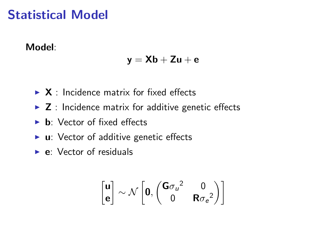## Statistical Model

### Model:

$$
\boldsymbol{y} = \boldsymbol{X}\boldsymbol{b} + \boldsymbol{Z}\boldsymbol{u} + \boldsymbol{e}
$$

- $\triangleright$  X : Incidence matrix for fixed effects
- $\triangleright$  **Z** : Incidence matrix for additive genetic effects
- $\triangleright$  **b**: Vector of fixed effects
- $\blacktriangleright$  **u**: Vector of additive genetic effects
- $\blacktriangleright$  **e**: Vector of residuals

$$
\begin{bmatrix} \mathbf{u} \\ \mathbf{e} \end{bmatrix} \sim \mathcal{N} \left[ \mathbf{0}, \begin{pmatrix} \mathbf{G}\sigma_u{}^2 & 0 \\ 0 & \mathbf{R}\sigma_e{}^2 \end{pmatrix} \right]
$$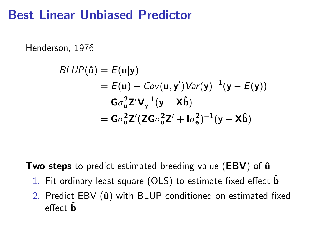## Best Linear Unbiased Predictor

Henderson, 1976

$$
BLUP(\hat{\mathbf{u}}) = E(\mathbf{u}|\mathbf{y})
$$
  
=  $E(\mathbf{u}) + Cov(\mathbf{u}, \mathbf{y}')Var(\mathbf{y})^{-1}(\mathbf{y} - E(\mathbf{y}))$   
=  $G\sigma_u^2 Z'V_y^{-1}(\mathbf{y} - \mathbf{X}\hat{\mathbf{b}})$   
=  $G\sigma_u^2 Z'(ZG\sigma_u^2 Z' + I\sigma_e^2)^{-1}(\mathbf{y} - \mathbf{X}\hat{\mathbf{b}})$ 

Two steps to predict estimated breeding value ( $EBV$ ) of  $\hat{u}$ 

- 1. Fit ordinary least square (OLS) to estimate fixed effect  $\hat{\mathbf{b}}$
- 2. Predict EBV  $(\hat{u})$  with BLUP conditioned on estimated fixed effect  $\hat{\mathbf{b}}$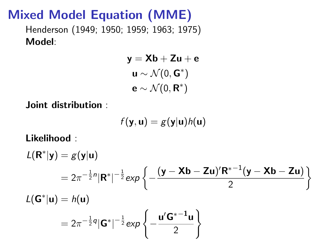# Mixed Model Equation (MME)

Henderson (1949; 1950; 1959; 1963; 1975) Model:

$$
y = Xb + Zu + e
$$

$$
u \sim \mathcal{N}(0, G^*)
$$

$$
e \sim \mathcal{N}(0, R^*)
$$

Joint distribution :

$$
f(\mathbf{y},\mathbf{u})=g(\mathbf{y}|\mathbf{u})h(\mathbf{u})
$$

Likelihood :

$$
L(\mathbf{R}^*|\mathbf{y}) = g(\mathbf{y}|\mathbf{u})
$$
  
=  $2\pi^{-\frac{1}{2}n} |\mathbf{R}^*|^{-\frac{1}{2}} exp \left\{-\frac{(\mathbf{y} - \mathbf{X}\mathbf{b} - \mathbf{Z}\mathbf{u})' \mathbf{R}^{*-1} (\mathbf{y} - \mathbf{X}\mathbf{b} - \mathbf{Z}\mathbf{u})}{2}\right\}$   

$$
L(\mathbf{G}^*|\mathbf{u}) = h(\mathbf{u})
$$
  
=  $2\pi^{-\frac{1}{2}q} |\mathbf{G}^*|^{-\frac{1}{2}} exp \left\{-\frac{\mathbf{u}' \mathbf{G}^{*-1} \mathbf{u}}{2}\right\}$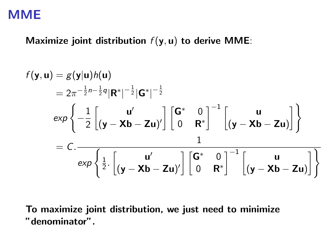### Maximize joint distribution  $f(y, u)$  to derive MME:

$$
f(\mathbf{y}, \mathbf{u}) = g(\mathbf{y}|\mathbf{u})h(\mathbf{u})
$$
  
\n
$$
= 2\pi^{-\frac{1}{2}n-\frac{1}{2}q}|\mathbf{R}^*|^{-\frac{1}{2}}|\mathbf{G}^*|^{-\frac{1}{2}}
$$
  
\n
$$
\exp\left\{-\frac{1}{2}\begin{bmatrix} \mathbf{u}' & \mathbf{u}' \\ (\mathbf{y}-\mathbf{X}\mathbf{b}-\mathbf{Z}\mathbf{u})' \end{bmatrix}\begin{bmatrix} \mathbf{G}^* & 0 \\ 0 & \mathbf{R}^* \end{bmatrix}^{-1}\begin{bmatrix} \mathbf{u} & \mathbf{u} \\ (\mathbf{y}-\mathbf{X}\mathbf{b}-\mathbf{Z}\mathbf{u}) \end{bmatrix}\right\}
$$
  
\n
$$
= C.\frac{\exp\left\{\frac{1}{2} \cdot \begin{bmatrix} \mathbf{u}' & \mathbf{u}' \\ (\mathbf{y}-\mathbf{X}\mathbf{b}-\mathbf{Z}\mathbf{u})' \end{bmatrix}\begin{bmatrix} \mathbf{G}^* & 0 \\ 0 & \mathbf{R}^* \end{bmatrix}^{-1}\begin{bmatrix} \mathbf{u} & \mathbf{u} \\ (\mathbf{y}-\mathbf{X}\mathbf{b}-\mathbf{Z}\mathbf{u}) \end{bmatrix}\right\}}
$$

To maximize joint distribution, we just need to minimize "denominator".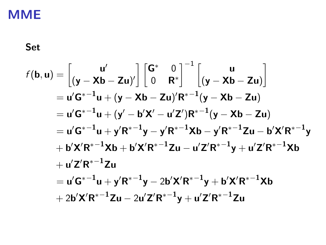Set

$$
f(b, u) = \begin{bmatrix} u' \\ (y - Xb - Zu)' \end{bmatrix} \begin{bmatrix} G^* & 0 \\ 0 & R^* \end{bmatrix}^{-1} \begin{bmatrix} u \\ (y - Xb - Zu) \end{bmatrix}
$$
  
\n= u'G<sup>\*-1</sup>u + (y - Xb - Zu)'R<sup>\*-1</sup>(y - Xb - Zu)  
\n= u'G<sup>\*-1</sup>u + (y' - b'X' - u'Z')R<sup>\*-1</sup>(y - Xb - Zu)  
\n= u'G<sup>\*-1</sup>u + y'R<sup>\*-1</sup>y - y'R<sup>\*-1</sup>Xb - y'R<sup>\*-1</sup>Zu - b'X'R<sup>\*-1</sup>y  
\n+ b'X'R<sup>\*-1</sup>Xb + b'X'R<sup>\*-1</sup>Zu - u'Z'R<sup>\*-1</sup>y + u'Z'R<sup>\*-1</sup>Xb  
\n+ u'Z'R<sup>\*-1</sup>Zu  
\n= u'G<sup>\*-1</sup>u + y'R<sup>\*-1</sup>y - 2b'X'R<sup>\*-1</sup>y + b'X'R<sup>\*-1</sup>Xb  
\n+ 2b'X'R<sup>\*-1</sup>Zu - 2u'Z'R<sup>\*-1</sup>y + u'Z'R<sup>\*-1</sup>Zu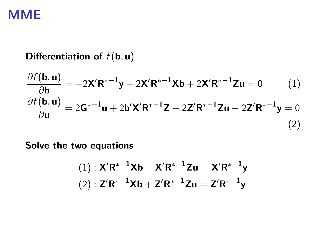## Differentiation of  $f(\mathbf{b}, \mathbf{u})$

$$
\frac{\partial f(\mathbf{b}, \mathbf{u})}{\partial \mathbf{b}} = -2\mathbf{X}' \mathbf{R}^{*-1} \mathbf{y} + 2\mathbf{X}' \mathbf{R}^{*-1} \mathbf{X} \mathbf{b} + 2\mathbf{X}' \mathbf{R}^{*-1} \mathbf{Z} \mathbf{u} = 0 \qquad (1)
$$

$$
\frac{\partial f(\mathbf{b}, \mathbf{u})}{\partial \mathbf{u}} = 2\mathbf{G}^{*-1} \mathbf{u} + 2\mathbf{b}' \mathbf{X}' \mathbf{R}^{*-1} \mathbf{Z} + 2\mathbf{Z}' \mathbf{R}^{*-1} \mathbf{Z} \mathbf{u} - 2\mathbf{Z}' \mathbf{R}^{*-1} \mathbf{y} = 0 \qquad (2)
$$

Solve the two equations

$$
(1): X'R^{*-1}Xb + X'R^{*-1}Zu = X'R^{*-1}y
$$

$$
(2): Z'R^{*-1}Xb + Z'R^{*-1}Zu = Z'R^{*-1}y
$$